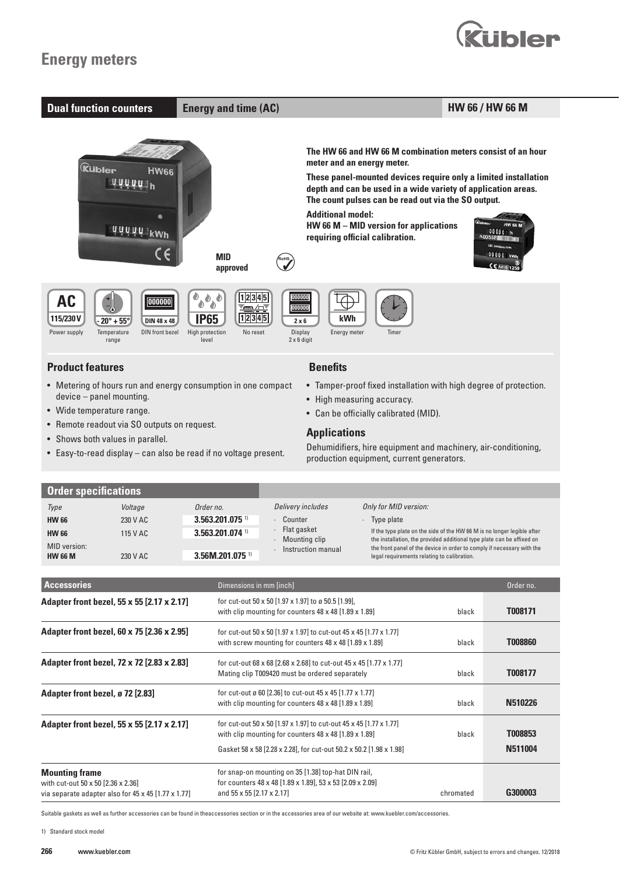# **Energy meters**



- Metering of hours run and energy consumption in one compact device – panel mounting.
- Wide temperature range.
- Remote readout via SO outputs on request.
- Shows both values in parallel.
- Easy-to-read display can also be read if no voltage present.

• Tamper-proof fixed installation with high degree of protection.

**uibler** 

- High measuring accuracy. • Can be officially calibrated (MID).
- **Applications**

Dehumidifiers, hire equipment and machinery, air-conditioning, production equipment, current generators.

| <b>Order specifications</b> |          |                               |                              |                                                                                                                                                                                                                             |
|-----------------------------|----------|-------------------------------|------------------------------|-----------------------------------------------------------------------------------------------------------------------------------------------------------------------------------------------------------------------------|
| Type                        | Voltage  | Order no.                     | Delivery includes            | Only for MID version:                                                                                                                                                                                                       |
| <b>HW 66</b>                | 230 V AC | $3.563.201.075$ <sup>1)</sup> | Counter                      | Type plate                                                                                                                                                                                                                  |
| <b>HW 66</b>                | 115 V AC | $3.563.201.074$ <sup>1)</sup> | Flat gasket<br>Mounting clip | If the type plate on the side of the HW 66 M is no longer legible after<br>the installation, the provided additional type plate can be affixed on<br>the front panel of the device in order to comply if necessary with the |
| MID version:                |          |                               | Instruction manual           |                                                                                                                                                                                                                             |
| <b>HW 66 M</b>              | 230 V AC | $3.56M.201.075$ <sup>1)</sup> |                              | legal requirements relating to calibration.                                                                                                                                                                                 |

| <b>Accessories</b>                                                                                                               | Dimensions in mm [inch]                                                                                                                                                                                          |           | Order no.          |
|----------------------------------------------------------------------------------------------------------------------------------|------------------------------------------------------------------------------------------------------------------------------------------------------------------------------------------------------------------|-----------|--------------------|
| Adapter front bezel, 55 x 55 [2.17 x 2.17]                                                                                       | for cut-out 50 x 50 [1.97 x 1.97] to ø 50.5 [1.99],<br>with clip mounting for counters $48 \times 48$ [1.89 $\times$ 1.89]                                                                                       | black     | T008171            |
| Adapter front bezel, 60 x 75 [2.36 x 2.95]                                                                                       | for cut-out 50 x 50 [1.97 x 1.97] to cut-out 45 x 45 [1.77 x 1.77]<br>with screw mounting for counters 48 x 48 [1.89 x 1.89]                                                                                     | black     | <b>T008860</b>     |
| Adapter front bezel, 72 x 72 [2.83 x 2.83]                                                                                       | for cut-out 68 x 68 [2.68 x 2.68] to cut-out 45 x 45 [1.77 x 1.77]<br>Mating clip T009420 must be ordered separately                                                                                             | black     | T008177            |
| Adapter front bezel, ø 72 [2.83]                                                                                                 | for cut-out ø 60 [2.36] to cut-out 45 x 45 [1.77 x 1.77]<br>with clip mounting for counters 48 x 48 [1.89 x 1.89]                                                                                                | black     | N510226            |
| Adapter front bezel, 55 x 55 [2.17 x 2.17]                                                                                       | for cut-out 50 x 50 [1.97 x 1.97] to cut-out 45 x 45 [1.77 x 1.77]<br>with clip mounting for counters $48 \times 48$ [1.89 $\times$ 1.89]<br>Gasket 58 x 58 [2.28 x 2.28], for cut-out 50.2 x 50.2 [1.98 x 1.98] | black     | T008853<br>N511004 |
| <b>Mounting frame</b><br>with cut-out 50 x 50 [2.36 x 2.36]<br>via separate adapter also for $45 \times 45$ [1.77 $\times$ 1.77] | for snap-on mounting on 35 [1.38] top-hat DIN rail,<br>for counters 48 x 48 [1.89 x 1.89], 53 x 53 [2.09 x 2.09]<br>and 55 x 55 [2.17 x 2.17]                                                                    | chromated | G300003            |

Suitable gaskets as well as further accessories can be found in theaccessories section or in the accessories area of our website at: www.kuebler.com/accessories.

1) Standard stock model